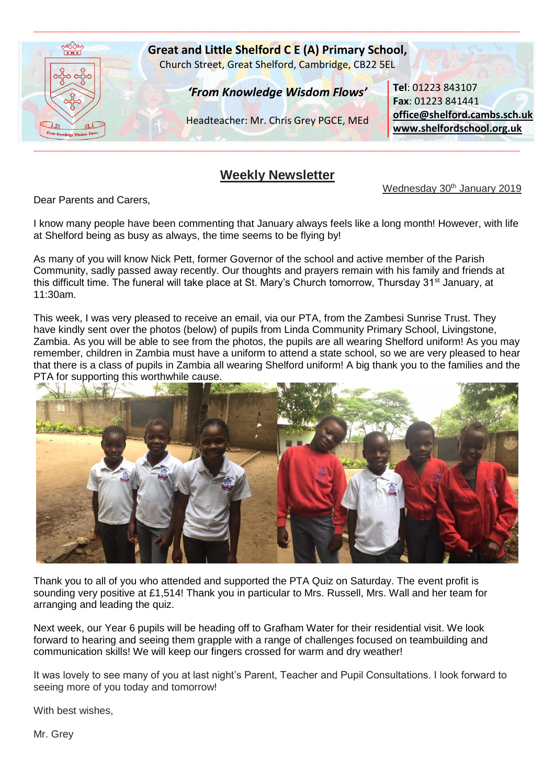

## **Weekly Newsletter**

Wednesday 30<sup>th</sup> January 2019

Dear Parents and Carers,

I know many people have been commenting that January always feels like a long month! However, with life at Shelford being as busy as always, the time seems to be flying by!

As many of you will know Nick Pett, former Governor of the school and active member of the Parish Community, sadly passed away recently. Our thoughts and prayers remain with his family and friends at this difficult time. The funeral will take place at St. Mary's Church tomorrow, Thursday 31<sup>st</sup> January, at 11:30am.

This week, I was very pleased to receive an email, via our PTA, from the Zambesi Sunrise Trust. They have kindly sent over the photos (below) of pupils from Linda Community Primary School, Livingstone, Zambia. As you will be able to see from the photos, the pupils are all wearing Shelford uniform! As you may remember, children in Zambia must have a uniform to attend a state school, so we are very pleased to hear that there is a class of pupils in Zambia all wearing Shelford uniform! A big thank you to the families and the PTA for supporting this worthwhile cause.



Thank you to all of you who attended and supported the PTA Quiz on Saturday. The event profit is sounding very positive at £1,514! Thank you in particular to Mrs. Russell, Mrs. Wall and her team for arranging and leading the quiz.

Next week, our Year 6 pupils will be heading off to Grafham Water for their residential visit. We look forward to hearing and seeing them grapple with a range of challenges focused on teambuilding and communication skills! We will keep our fingers crossed for warm and dry weather!

It was lovely to see many of you at last night's Parent, Teacher and Pupil Consultations. I look forward to seeing more of you today and tomorrow!

With best wishes,

Mr. Grey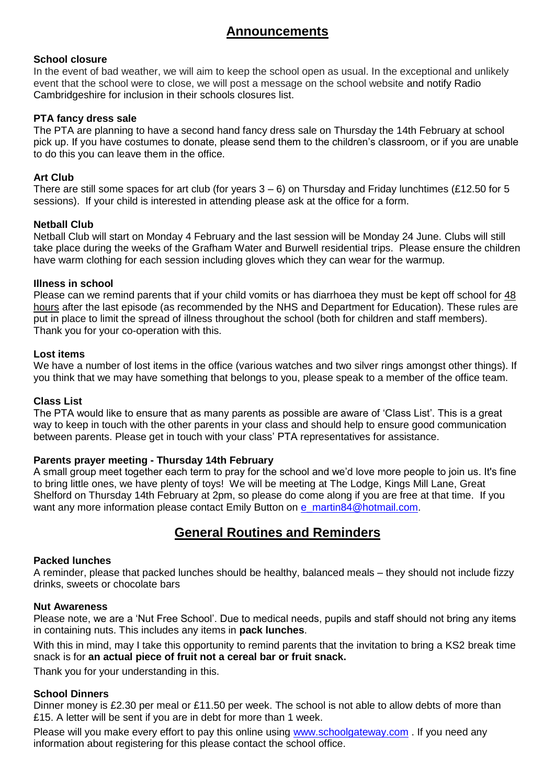# **Announcements**

### **School closure**

In the event of bad weather, we will aim to keep the school open as usual. In the exceptional and unlikely event that the school were to close, we will post a message on the school website and notify Radio Cambridgeshire for inclusion in their schools closures list.

### **PTA fancy dress sale**

The PTA are planning to have a second hand fancy dress sale on Thursday the 14th February at school pick up. If you have costumes to donate, please send them to the children's classroom, or if you are unable to do this you can leave them in the office.

## **Art Club**

There are still some spaces for art club (for years  $3 - 6$ ) on Thursday and Friday lunchtimes (£12.50 for 5 sessions). If your child is interested in attending please ask at the office for a form.

### **Netball Club**

Netball Club will start on Monday 4 February and the last session will be Monday 24 June. Clubs will still take place during the weeks of the Grafham Water and Burwell residential trips. Please ensure the children have warm clothing for each session including gloves which they can wear for the warmup.

### **Illness in school**

Please can we remind parents that if your child vomits or has diarrhoea they must be kept off school for 48 hours after the last episode (as recommended by the NHS and Department for Education). These rules are put in place to limit the spread of illness throughout the school (both for children and staff members). Thank you for your co-operation with this.

### **Lost items**

We have a number of lost items in the office (various watches and two silver rings amongst other things). If you think that we may have something that belongs to you, please speak to a member of the office team.

### **Class List**

The PTA would like to ensure that as many parents as possible are aware of 'Class List'. This is a great way to keep in touch with the other parents in your class and should help to ensure good communication between parents. Please get in touch with your class' PTA representatives for assistance.

### **Parents prayer meeting - Thursday 14th February**

A small group meet together each term to pray for the school and we'd love more people to join us. It's fine to bring little ones, we have plenty of toys! We will be meeting at The Lodge, Kings Mill Lane, Great Shelford on Thursday 14th February at 2pm, so please do come along if you are free at that time. If you want any more information please contact Emily Button on [e\\_martin84@hotmail.com.](mailto:e_martin84@hotmail.com)

## **General Routines and Reminders**

#### **Packed lunches**

A reminder, please that packed lunches should be healthy, balanced meals – they should not include fizzy drinks, sweets or chocolate bars

#### **Nut Awareness**

Please note, we are a 'Nut Free School'. Due to medical needs, pupils and staff should not bring any items in containing nuts. This includes any items in **pack lunches**.

With this in mind, may I take this opportunity to remind parents that the invitation to bring a KS2 break time snack is for **an actual piece of fruit not a cereal bar or fruit snack.**

Thank you for your understanding in this.

### **School Dinners**

Dinner money is £2.30 per meal or £11.50 per week. The school is not able to allow debts of more than £15. A letter will be sent if you are in debt for more than 1 week.

Please will you make every effort to pay this online using [www.schoolgateway.com](http://www.schoolgateway.com/) . If you need any information about registering for this please contact the school office.